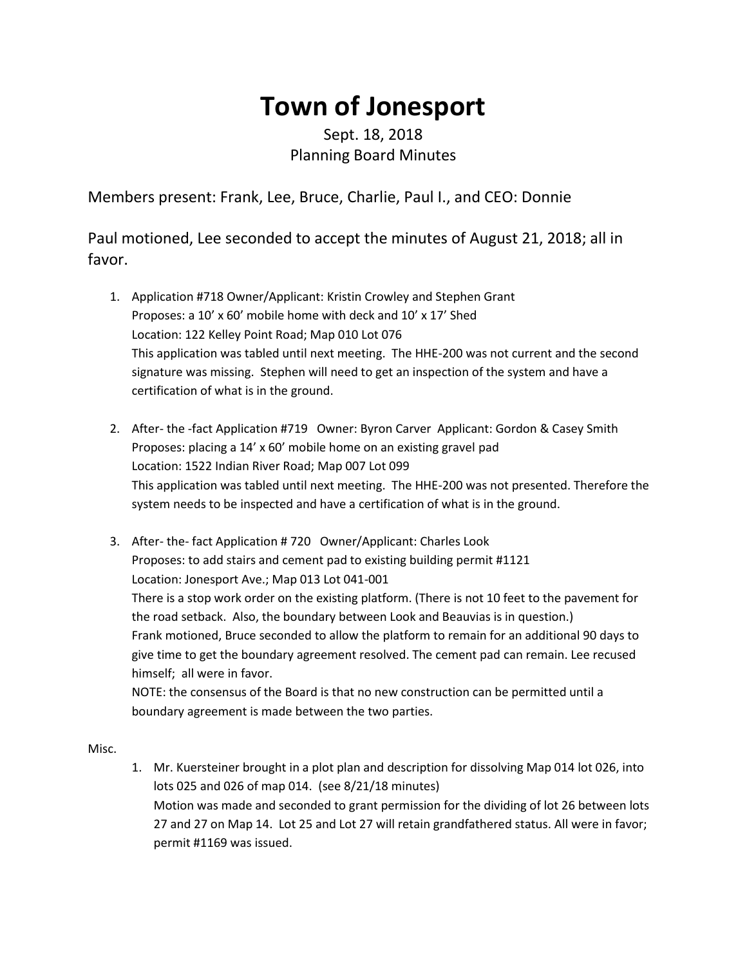## **Town of Jonesport**

## Sept. 18, 2018 Planning Board Minutes

Members present: Frank, Lee, Bruce, Charlie, Paul I., and CEO: Donnie

Paul motioned, Lee seconded to accept the minutes of August 21, 2018; all in favor.

- 1. Application #718 Owner/Applicant: Kristin Crowley and Stephen Grant Proposes: a 10' x 60' mobile home with deck and 10' x 17' Shed Location: 122 Kelley Point Road; Map 010 Lot 076 This application was tabled until next meeting. The HHE-200 was not current and the second signature was missing. Stephen will need to get an inspection of the system and have a certification of what is in the ground.
- 2. After- the -fact Application #719 Owner: Byron Carver Applicant: Gordon & Casey Smith Proposes: placing a 14' x 60' mobile home on an existing gravel pad Location: 1522 Indian River Road; Map 007 Lot 099 This application was tabled until next meeting. The HHE-200 was not presented. Therefore the system needs to be inspected and have a certification of what is in the ground.
- 3. After- the- fact Application # 720 Owner/Applicant: Charles Look Proposes: to add stairs and cement pad to existing building permit #1121 Location: Jonesport Ave.; Map 013 Lot 041-001 There is a stop work order on the existing platform. (There is not 10 feet to the pavement for the road setback. Also, the boundary between Look and Beauvias is in question.) Frank motioned, Bruce seconded to allow the platform to remain for an additional 90 days to give time to get the boundary agreement resolved. The cement pad can remain. Lee recused himself; all were in favor. NOTE: the consensus of the Board is that no new construction can be permitted until a boundary agreement is made between the two parties.

Misc.

1. Mr. Kuersteiner brought in a plot plan and description for dissolving Map 014 lot 026, into lots 025 and 026 of map 014. (see 8/21/18 minutes) Motion was made and seconded to grant permission for the dividing of lot 26 between lots 27 and 27 on Map 14. Lot 25 and Lot 27 will retain grandfathered status. All were in favor; permit #1169 was issued.